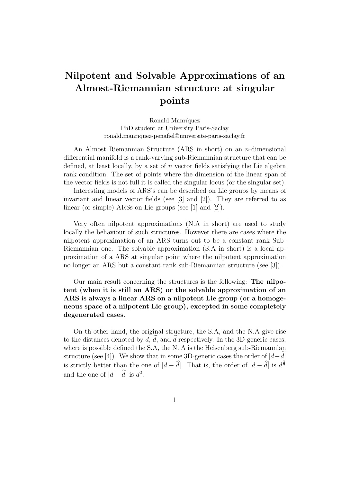## Nilpotent and Solvable Approximations of an Almost-Riemannian structure at singular points

Ronald Manríquez PhD student at University Paris-Saclay ronald.manriquez-penafiel@universite-paris-saclay.fr

An Almost Riemannian Structure (ARS in short) on an n-dimensional differential manifold is a rank-varying sub-Riemannian structure that can be defined, at least locally, by a set of n vector fields satisfying the Lie algebra rank condition. The set of points where the dimension of the linear span of the vector fields is not full it is called the singular locus (or the singular set).

Interesting models of ARS's can be described on Lie groups by means of invariant and linear vector fields (see [3] and [2]). They are referred to as linear (or simple) ARSs on Lie groups (see [1] and [2]).

Very often nilpotent approximations (N.A in short) are used to study locally the behaviour of such structures. However there are cases where the nilpotent approximation of an ARS turns out to be a constant rank Sub-Riemannian one. The solvable approximation (S.A in short) is a local approximation of a ARS at singular point where the nilpotent approximation no longer an ARS but a constant rank sub-Riemannian structure (see [3]).

Our main result concerning the structures is the following: The nilpotent (when it is still an ARS) or the solvable approximation of an ARS is always a linear ARS on a nilpotent Lie group (or a homogeneous space of a nilpotent Lie group), excepted in some completely degenerated cases.

On th other hand, the original structure, the S.A, and the N.A give rise to the distances denoted by d, d, and  $\hat{d}$  respectively. In the 3D-generic cases, where is possible defined the S.A, the N. A is the Heisenberg sub-Riemannian structure (see [4]). We show that in some 3D-generic cases the order of  $|d-\tilde{d}|$ is strictly better than the one of  $|d - \hat{d}|$ . That is, the order of  $|d - \hat{d}|$  is  $d^{\frac{3}{2}}$ and the one of  $|d - d|$  is  $d^2$ .